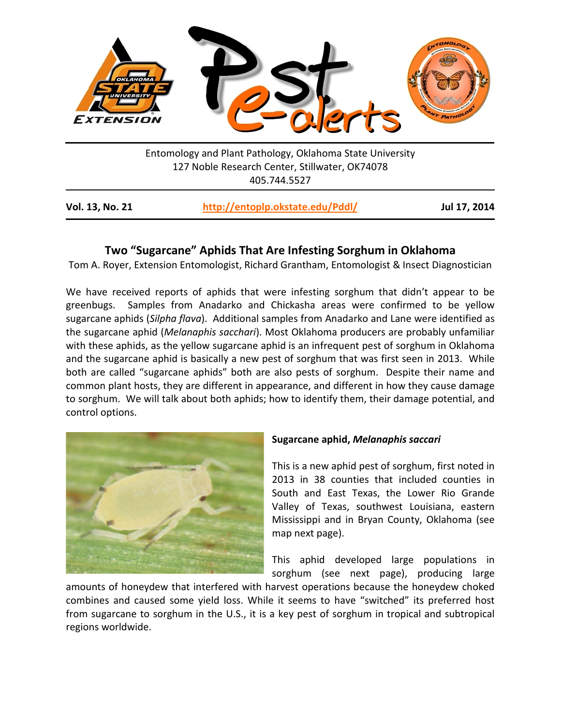

127 Noble Research Center, Stillwater, OK74078

405.744.5527

| Vol. 13, No. 21 | http://entoplp.okstate.edu/Pddl/ | Jul 17, 2014 |
|-----------------|----------------------------------|--------------|
|-----------------|----------------------------------|--------------|

# **Two "Sugarcane" Aphids That Are Infesting Sorghum in Oklahoma**

Tom A. Royer, Extension Entomologist, Richard Grantham, Entomologist & Insect Diagnostician

We have received reports of aphids that were infesting sorghum that didn't appear to be greenbugs. Samples from Anadarko and Chickasha areas were confirmed to be yellow sugarcane aphids (*Silpha flava*). Additional samples from Anadarko and Lane were identified as the sugarcane aphid (*Melanaphis sacchari*). Most Oklahoma producers are probably unfamiliar with these aphids, as the yellow sugarcane aphid is an infrequent pest of sorghum in Oklahoma and the sugarcane aphid is basically a new pest of sorghum that was first seen in 2013. While both are called "sugarcane aphids" both are also pests of sorghum. Despite their name and common plant hosts, they are different in appearance, and different in how they cause damage to sorghum. We will talk about both aphids; how to identify them, their damage potential, and control options.



# **Sugarcane aphid,** *Melanaphis saccari*

This is a new aphid pest of sorghum, first noted in 2013 in 38 counties that included counties in South and East Texas, the Lower Rio Grande Valley of Texas, southwest Louisiana, eastern Mississippi and in Bryan County, Oklahoma (see map next page).

This aphid developed large populations in sorghum (see next page), producing large

amounts of honeydew that interfered with harvest operations because the honeydew choked combines and caused some yield loss. While it seems to have "switched" its preferred host from sugarcane to sorghum in the U.S., it is a key pest of sorghum in tropical and subtropical regions worldwide.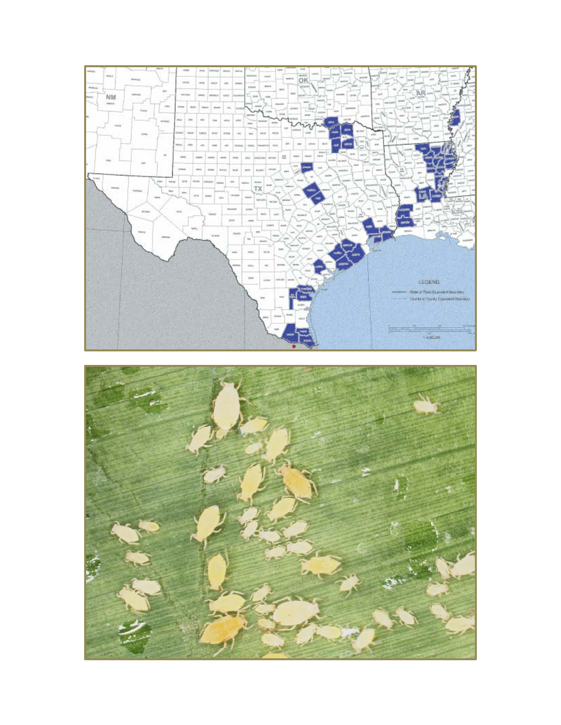

![](_page_1_Picture_1.jpeg)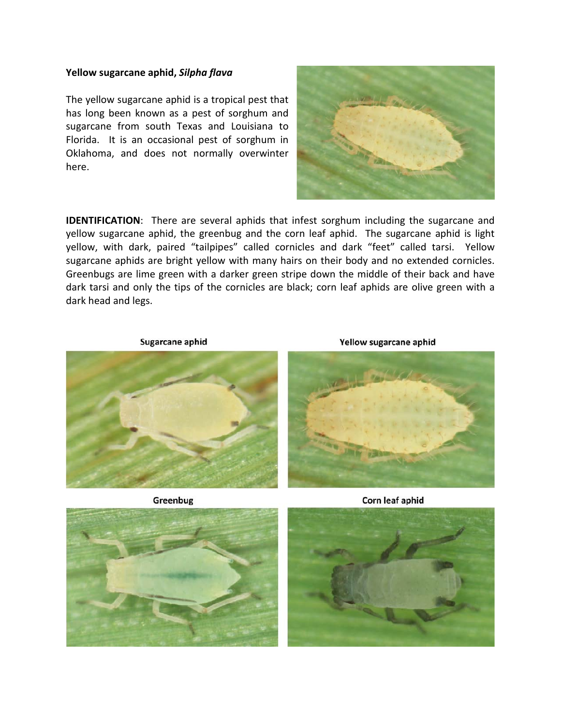### **Yellow sugarcane aphid,** *Silpha flava*

The yellow sugarcane aphid is a tropical pest that has long been known as a pest of sorghum and sugarcane from south Texas and Louisiana to Florida. It is an occasional pest of sorghum in Oklahoma, and does not normally overwinter here.

![](_page_2_Picture_2.jpeg)

**IDENTIFICATION**: There are several aphids that infest sorghum including the sugarcane and yellow sugarcane aphid, the greenbug and the corn leaf aphid. The sugarcane aphid is light yellow, with dark, paired "tailpipes" called cornicles and dark "feet" called tarsi. Yellow sugarcane aphids are bright yellow with many hairs on their body and no extended cornicles. Greenbugs are lime green with a darker green stripe down the middle of their back and have dark tarsi and only the tips of the cornicles are black; corn leaf aphids are olive green with a dark head and legs.

![](_page_2_Picture_4.jpeg)

Greenbug

![](_page_2_Picture_6.jpeg)

Yellow sugarcane aphid

![](_page_2_Figure_7.jpeg)

![](_page_2_Picture_8.jpeg)

![](_page_2_Picture_9.jpeg)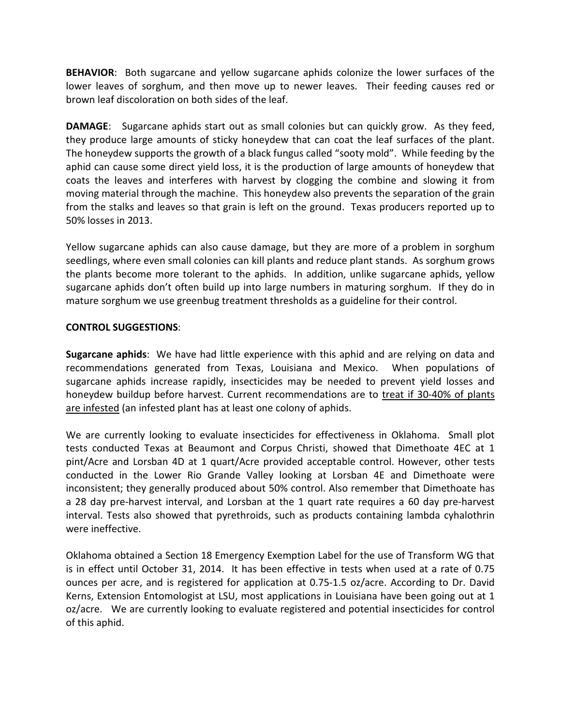**BEHAVIOR**: Both sugarcane and yellow sugarcane aphids colonize the lower surfaces of the lower leaves of sorghum, and then move up to newer leaves. Their feeding causes red or brown leaf discoloration on both sides of the leaf.

**DAMAGE**: Sugarcane aphids start out as small colonies but can quickly grow. As they feed, they produce large amounts of sticky honeydew that can coat the leaf surfaces of the plant. The honeydew supports the growth of a black fungus called "sooty mold". While feeding by the aphid can cause some direct yield loss, it is the production of large amounts of honeydew that coats the leaves and interferes with harvest by clogging the combine and slowing it from moving material through the machine. This honeydew also prevents the separation of the grain from the stalks and leaves so that grain is left on the ground. Texas producers reported up to 50% losses in 2013.

Yellow sugarcane aphids can also cause damage, but they are more of a problem in sorghum seedlings, where even small colonies can kill plants and reduce plant stands. As sorghum grows the plants become more tolerant to the aphids. In addition, unlike sugarcane aphids, yellow sugarcane aphids don't often build up into large numbers in maturing sorghum. If they do in mature sorghum we use greenbug treatment thresholds as a guideline for their control.

# **CONTROL SUGGESTIONS**:

**Sugarcane aphids**: We have had little experience with this aphid and are relying on data and recommendations generated from Texas, Louisiana and Mexico. When populations of sugarcane aphids increase rapidly, insecticides may be needed to prevent yield losses and honeydew buildup before harvest. Current recommendations are to treat if 30-40% of plants are infested (an infested plant has at least one colony of aphids.

We are currently looking to evaluate insecticides for effectiveness in Oklahoma. Small plot tests conducted Texas at Beaumont and Corpus Christi, showed that Dimethoate 4EC at 1 pint/Acre and Lorsban 4D at 1 quart/Acre provided acceptable control. However, other tests conducted in the Lower Rio Grande Valley looking at Lorsban 4E and Dimethoate were inconsistent; they generally produced about 50% control. Also remember that Dimethoate has a 28 day pre-harvest interval, and Lorsban at the 1 quart rate requires a 60 day pre-harvest interval. Tests also showed that pyrethroids, such as products containing lambda cyhalothrin were ineffective.

Oklahoma obtained a Section 18 Emergency Exemption Label for the use of Transform WG that is in effect until October 31, 2014. It has been effective in tests when used at a rate of 0.75 ounces per acre, and is registered for application at 0.75-1.5 oz/acre. According to Dr. David Kerns, Extension Entomologist at LSU, most applications in Louisiana have been going out at 1 oz/acre. We are currently looking to evaluate registered and potential insecticides for control of this aphid.